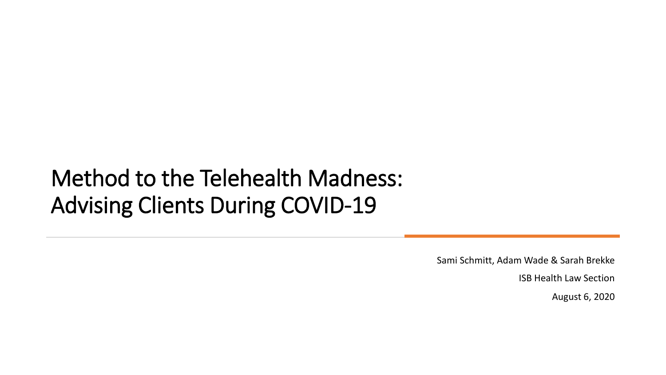#### Method to the Telehealth Madness: Advising Clients During COVID-19

Sami Schmitt, Adam Wade & Sarah Brekke

ISB Health Law Section

August 6, 2020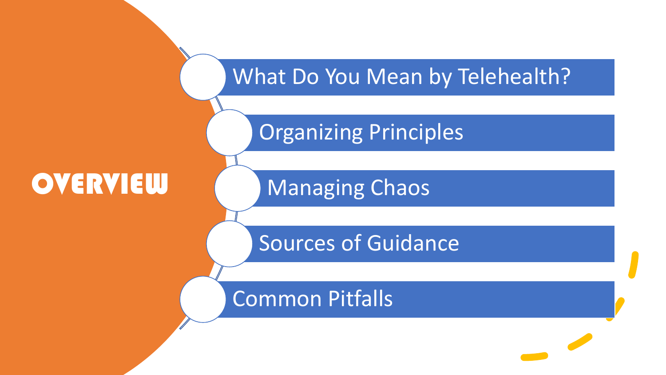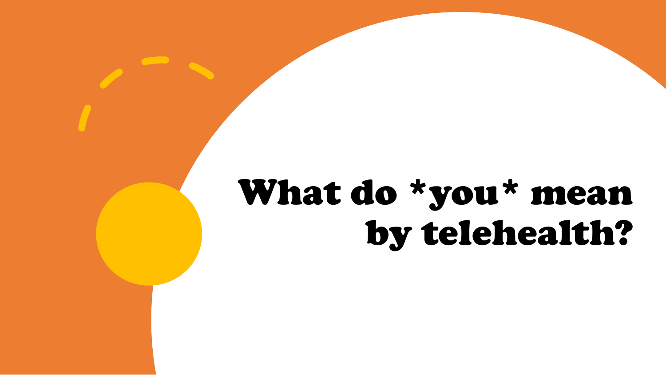# What do \*you\* mean by telehealth?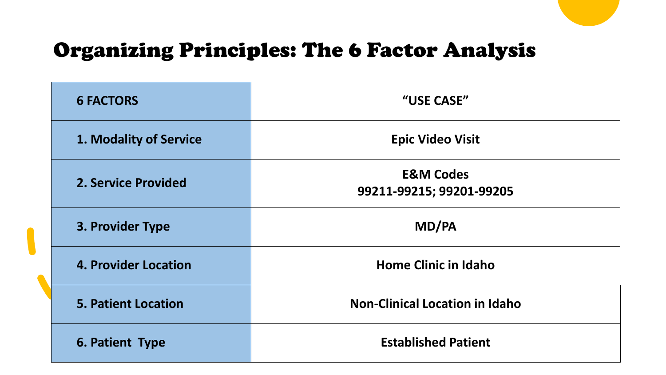#### Organizing Principles: The 6 Factor Analysis

| <b>6 FACTORS</b>            | "USE CASE"                                       |  |
|-----------------------------|--------------------------------------------------|--|
| 1. Modality of Service      | <b>Epic Video Visit</b>                          |  |
| <b>2. Service Provided</b>  | <b>E&amp;M Codes</b><br>99211-99215; 99201-99205 |  |
| 3. Provider Type            | MD/PA                                            |  |
| <b>4. Provider Location</b> | <b>Home Clinic in Idaho</b>                      |  |
| <b>5. Patient Location</b>  | <b>Non-Clinical Location in Idaho</b>            |  |
| 6. Patient Type             | <b>Established Patient</b>                       |  |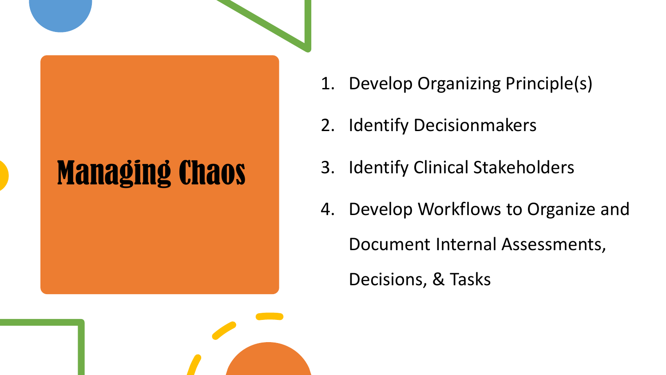## Managing Chaos

- 1. Develop Organizing Principle(s)
- 2. Identify Decisionmakers
- 3. Identify Clinical Stakeholders
- 4. Develop Workflows to Organize and Document Internal Assessments, Decisions, & Tasks

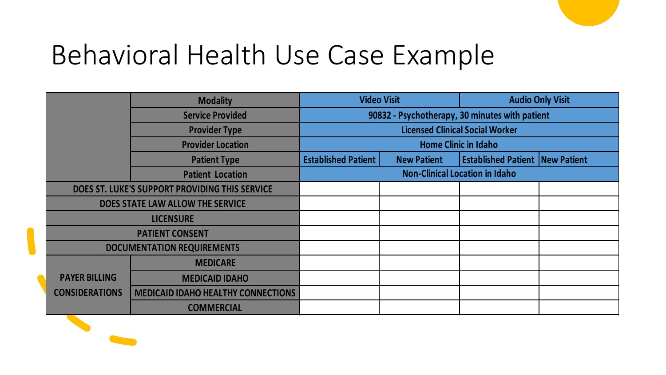#### Behavioral Health Use Case Example

| <b>Modality</b>                                |                                           | <b>Video Visit</b>                             |                    | <b>Audio Only Visit</b>                |  |
|------------------------------------------------|-------------------------------------------|------------------------------------------------|--------------------|----------------------------------------|--|
|                                                | <b>Service Provided</b>                   | 90832 - Psychotherapy, 30 minutes with patient |                    |                                        |  |
|                                                | <b>Provider Type</b>                      | <b>Licensed Clinical Social Worker</b>         |                    |                                        |  |
|                                                | <b>Provider Location</b>                  | <b>Home Clinic in Idaho</b>                    |                    |                                        |  |
|                                                | <b>Patient Type</b>                       | <b>Established Patient</b>                     | <b>New Patient</b> | <b>Established Patient New Patient</b> |  |
|                                                | <b>Patient Location</b>                   | <b>Non-Clinical Location in Idaho</b>          |                    |                                        |  |
| DOES ST. LUKE'S SUPPORT PROVIDING THIS SERVICE |                                           |                                                |                    |                                        |  |
| DOES STATE LAW ALLOW THE SERVICE               |                                           |                                                |                    |                                        |  |
| <b>LICENSURE</b>                               |                                           |                                                |                    |                                        |  |
| <b>PATIENT CONSENT</b>                         |                                           |                                                |                    |                                        |  |
| <b>DOCUMENTATION REQUIREMENTS</b>              |                                           |                                                |                    |                                        |  |
|                                                | <b>MEDICARE</b>                           |                                                |                    |                                        |  |
| <b>PAYER BILLING</b>                           | <b>MEDICAID IDAHO</b>                     |                                                |                    |                                        |  |
| <b>CONSIDERATIONS</b>                          | <b>MEDICAID IDAHO HEALTHY CONNECTIONS</b> |                                                |                    |                                        |  |
|                                                | <b>COMMERCIAL</b>                         |                                                |                    |                                        |  |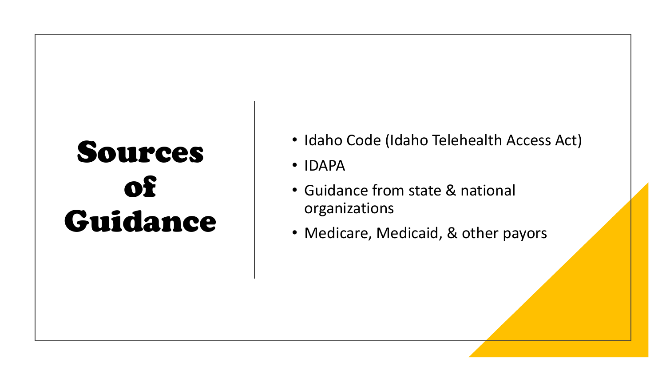### Sources of Guidance

- Idaho Code (Idaho Telehealth Access Act)
- IDAPA
- Guidance from state & national organizations
- Medicare, Medicaid, & other payors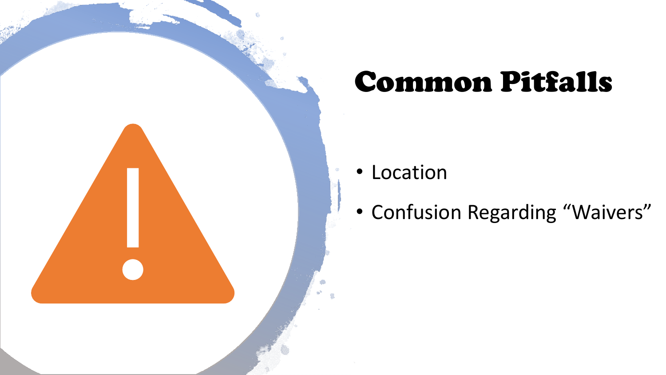

### Common Pitfalls

• Location

• Confusion Regarding "Waivers"